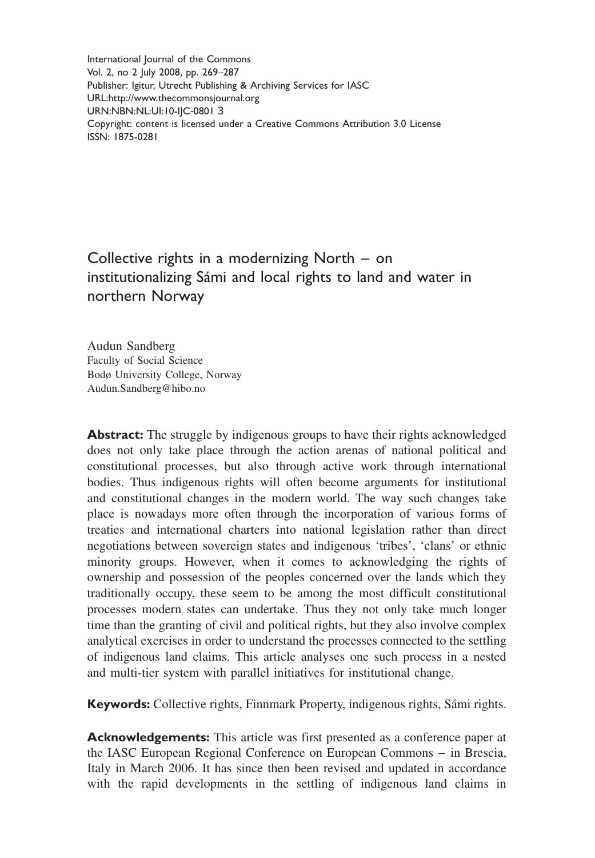International Journal of the Commons Vol. 2, no 2 July 2008, pp. 269–287 Publisher: Igitur, Utrecht Publishing & Archiving Services for IASC URL:<http://www.thecommonsjournal.org> URN:NBN:NL:UI:10-IJC-0801 3 Copyright: content is licensed under a Creative Commons Attribution 3.0 License ISSN: 1875-0281

# Collective rights in a modernizing North – on institutionalizing Sámi and local rights to land and water in northern Norway

Audun Sandberg Faculty of Social Science Bodø University College, Norway [Audun.Sandberg@hibo.no](mailto:Audun.Sandberg@hibo.no)

**Abstract:** The struggle by indigenous groups to have their rights acknowledged does not only take place through the action arenas of national political and constitutional processes, but also through active work through international bodies. Thus indigenous rights will often become arguments for institutional and constitutional changes in the modern world. The way such changes take place is nowadays more often through the incorporation of various forms of treaties and international charters into national legislation rather than direct negotiations between sovereign states and indigenous 'tribes', 'clans' or ethnic minority groups. However, when it comes to acknowledging the rights of ownership and possession of the peoples concerned over the lands which they traditionally occupy, these seem to be among the most difficult constitutional processes modern states can undertake. Thus they not only take much longer time than the granting of civil and political rights, but they also involve complex analytical exercises in order to understand the processes connected to the settling of indigenous land claims. This article analyses one such process in a nested and multi-tier system with parallel initiatives for institutional change.

**Keywords:** Collective rights, Finnmark Property, indigenous rights, Sámi rights.

**Acknowledgements:** This article was first presented as a conference paper at the IASC European Regional Conference on European Commons – in Brescia, Italy in March 2006. It has since then been revised and updated in accordance with the rapid developments in the settling of indigenous land claims in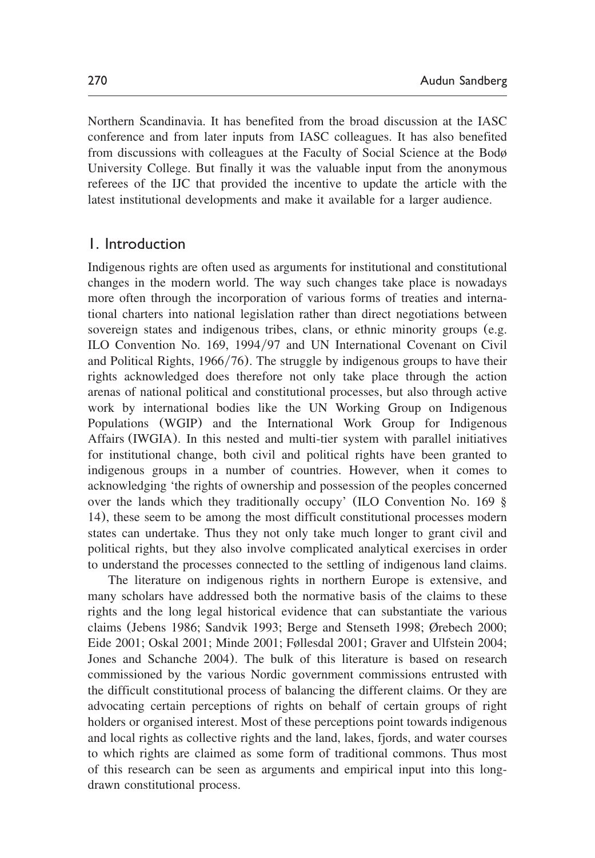Northern Scandinavia. It has benefited from the broad discussion at the IASC conference and from later inputs from IASC colleagues. It has also benefited from discussions with colleagues at the Faculty of Social Science at the Bodø University College. But finally it was the valuable input from the anonymous referees of the IJC that provided the incentive to update the article with the latest institutional developments and make it available for a larger audience.

### 1. Introduction

Indigenous rights are often used as arguments for institutional and constitutional changes in the modern world. The way such changes take place is nowadays more often through the incorporation of various forms of treaties and international charters into national legislation rather than direct negotiations between sovereign states and indigenous tribes, clans, or ethnic minority groups (e.g. ILO Convention No. 169, 1994/97 and UN International Covenant on Civil and Political Rights,  $1966/76$ ). The struggle by indigenous groups to have their rights acknowledged does therefore not only take place through the action arenas of national political and constitutional processes, but also through active work by international bodies like the UN Working Group on Indigenous Populations (WGIP) and the International Work Group for Indigenous Affairs (IWGIA). In this nested and multi-tier system with parallel initiatives for institutional change, both civil and political rights have been granted to indigenous groups in a number of countries. However, when it comes to acknowledging 'the rights of ownership and possession of the peoples concerned over the lands which they traditionally occupy' (ILO Convention No. 169 § 14), these seem to be among the most difficult constitutional processes modern states can undertake. Thus they not only take much longer to grant civil and political rights, but they also involve complicated analytical exercises in order to understand the processes connected to the settling of indigenous land claims.

The literature on indigenous rights in northern Europe is extensive, and many scholars have addressed both the normative basis of the claims to these rights and the long legal historical evidence that can substantiate the various claims ([Jebens 1986;](#page-17-0) [Sandvik 1993;](#page-18-0) [Berge and Stenseth 1998;](#page-16-0) [Ørebech 2000;](#page-18-0) [Eide 2001;](#page-16-0) [Oskal 2001; Minde 2001;](#page-17-0) [Føllesdal 2001; Graver and Ulfstein 2004;](#page-16-0) [Jones and Schanche 2004](#page-17-0)). The bulk of this literature is based on research commissioned by the various Nordic government commissions entrusted with the difficult constitutional process of balancing the different claims. Or they are advocating certain perceptions of rights on behalf of certain groups of right holders or organised interest. Most of these perceptions point towards indigenous and local rights as collective rights and the land, lakes, fjords, and water courses to which rights are claimed as some form of traditional commons. Thus most of this research can be seen as arguments and empirical input into this longdrawn constitutional process.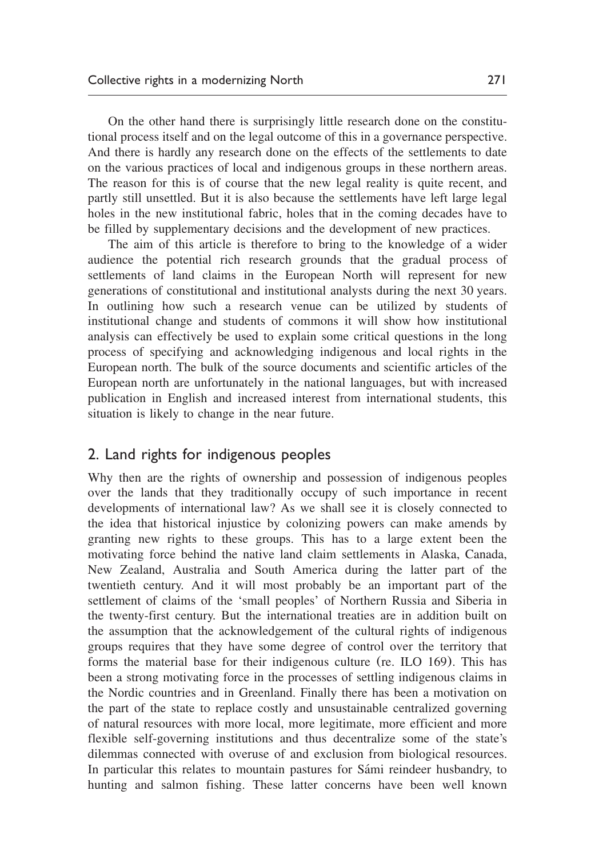On the other hand there is surprisingly little research done on the constitutional process itself and on the legal outcome of this in a governance perspective. And there is hardly any research done on the effects of the settlements to date on the various practices of local and indigenous groups in these northern areas. The reason for this is of course that the new legal reality is quite recent, and partly still unsettled. But it is also because the settlements have left large legal holes in the new institutional fabric, holes that in the coming decades have to be filled by supplementary decisions and the development of new practices.

The aim of this article is therefore to bring to the knowledge of a wider audience the potential rich research grounds that the gradual process of settlements of land claims in the European North will represent for new generations of constitutional and institutional analysts during the next 30 years. In outlining how such a research venue can be utilized by students of institutional change and students of commons it will show how institutional analysis can effectively be used to explain some critical questions in the long process of specifying and acknowledging indigenous and local rights in the European north. The bulk of the source documents and scientific articles of the European north are unfortunately in the national languages, but with increased publication in English and increased interest from international students, this situation is likely to change in the near future.

## 2. Land rights for indigenous peoples

Why then are the rights of ownership and possession of indigenous peoples over the lands that they traditionally occupy of such importance in recent developments of international law? As we shall see it is closely connected to the idea that historical injustice by colonizing powers can make amends by granting new rights to these groups. This has to a large extent been the motivating force behind the native land claim settlements in Alaska, Canada, New Zealand, Australia and South America during the latter part of the twentieth century. And it will most probably be an important part of the settlement of claims of the 'small peoples' of Northern Russia and Siberia in the twenty-first century. But the international treaties are in addition built on the assumption that the acknowledgement of the cultural rights of indigenous groups requires that they have some degree of control over the territory that forms the material base for their indigenous culture (re. ILO 169). This has been a strong motivating force in the processes of settling indigenous claims in the Nordic countries and in Greenland. Finally there has been a motivation on the part of the state to replace costly and unsustainable centralized governing of natural resources with more local, more legitimate, more efficient and more flexible self-governing institutions and thus decentralize some of the state's dilemmas connected with overuse of and exclusion from biological resources. In particular this relates to mountain pastures for Sámi reindeer husbandry, to hunting and salmon fishing. These latter concerns have been well known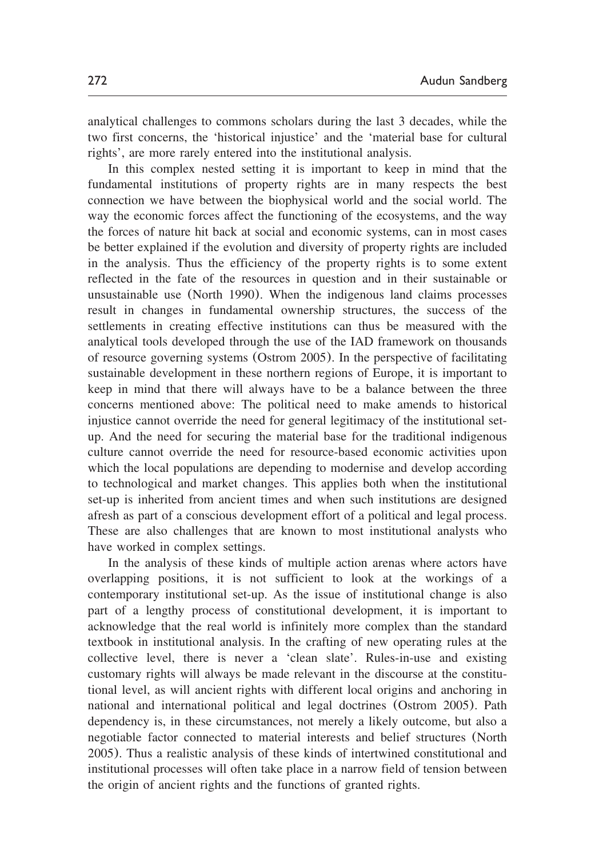analytical challenges to commons scholars during the last 3 decades, while the two first concerns, the 'historical injustice' and the 'material base for cultural rights', are more rarely entered into the institutional analysis.

In this complex nested setting it is important to keep in mind that the fundamental institutions of property rights are in many respects the best connection we have between the biophysical world and the social world. The way the economic forces affect the functioning of the ecosystems, and the way the forces of nature hit back at social and economic systems, can in most cases be better explained if the evolution and diversity of property rights are included in the analysis. Thus the efficiency of the property rights is to some extent reflected in the fate of the resources in question and in their sustainable or unsustainable use ([North 1990](#page-17-0)). When the indigenous land claims processes result in changes in fundamental ownership structures, the success of the settlements in creating effective institutions can thus be measured with the analytical tools developed through the use of the IAD framework on thousands of resource governing systems ([Ostrom 2005](#page-17-0)). In the perspective of facilitating sustainable development in these northern regions of Europe, it is important to keep in mind that there will always have to be a balance between the three concerns mentioned above: The political need to make amends to historical injustice cannot override the need for general legitimacy of the institutional setup. And the need for securing the material base for the traditional indigenous culture cannot override the need for resource-based economic activities upon which the local populations are depending to modernise and develop according to technological and market changes. This applies both when the institutional set-up is inherited from ancient times and when such institutions are designed afresh as part of a conscious development effort of a political and legal process. These are also challenges that are known to most institutional analysts who have worked in complex settings.

In the analysis of these kinds of multiple action arenas where actors have overlapping positions, it is not sufficient to look at the workings of a contemporary institutional set-up. As the issue of institutional change is also part of a lengthy process of constitutional development, it is important to acknowledge that the real world is infinitely more complex than the standard textbook in institutional analysis. In the crafting of new operating rules at the collective level, there is never a 'clean slate'. Rules-in-use and existing customary rights will always be made relevant in the discourse at the constitutional level, as will ancient rights with different local origins and anchoring in national and international political and legal doctrines ([Ostrom 2005](#page-17-0)). Path dependency is, in these circumstances, not merely a likely outcome, but also a negotiable factor connected to material interests and belief structures ([North](#page-17-0) [2005](#page-17-0)). Thus a realistic analysis of these kinds of intertwined constitutional and institutional processes will often take place in a narrow field of tension between the origin of ancient rights and the functions of granted rights.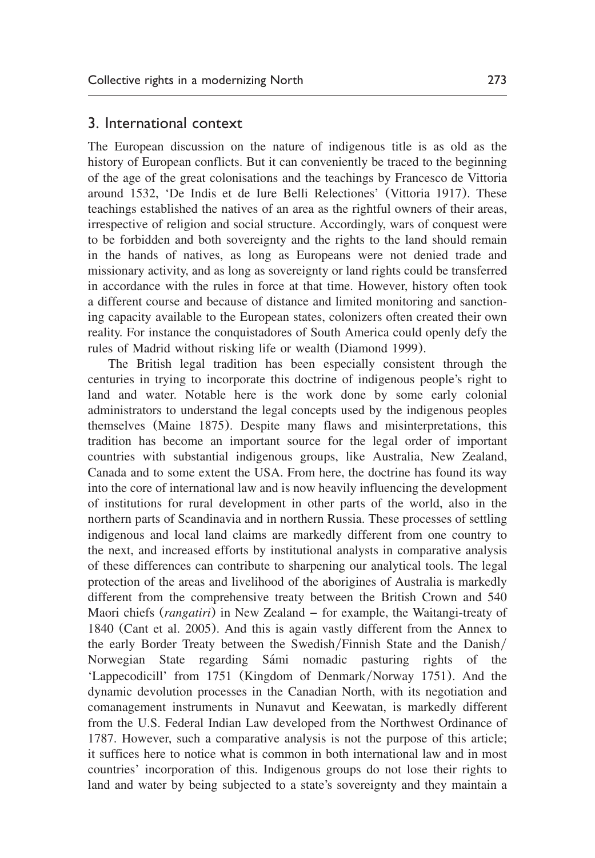#### 3. International context

The European discussion on the nature of indigenous title is as old as the history of European conflicts. But it can conveniently be traced to the beginning of the age of the great colonisations and the teachings by Francesco de Vittoria around 1532, 'De Indis et de Iure Belli Relectiones' ([Vittoria 1917](#page-18-0)). These teachings established the natives of an area as the rightful owners of their areas, irrespective of religion and social structure. Accordingly, wars of conquest were to be forbidden and both sovereignty and the rights to the land should remain in the hands of natives, as long as Europeans were not denied trade and missionary activity, and as long as sovereignty or land rights could be transferred in accordance with the rules in force at that time. However, history often took a different course and because of distance and limited monitoring and sanctioning capacity available to the European states, colonizers often created their own reality. For instance the conquistadores of South America could openly defy the rules of Madrid without risking life or wealth ([Diamond 1999](#page-16-0)).

The British legal tradition has been especially consistent through the centuries in trying to incorporate this doctrine of indigenous people's right to land and water. Notable here is the work done by some early colonial administrators to understand the legal concepts used by the indigenous peoples themselves ([Maine 1875](#page-17-0)). Despite many flaws and misinterpretations, this tradition has become an important source for the legal order of important countries with substantial indigenous groups, like Australia, New Zealand, Canada and to some extent the USA. From here, the doctrine has found its way into the core of international law and is now heavily influencing the development of institutions for rural development in other parts of the world, also in the northern parts of Scandinavia and in northern Russia. These processes of settling indigenous and local land claims are markedly different from one country to the next, and increased efforts by institutional analysts in comparative analysis of these differences can contribute to sharpening our analytical tools. The legal protection of the areas and livelihood of the aborigines of Australia is markedly different from the comprehensive treaty between the British Crown and 540 Maori chiefs (*rangatiri*) in New Zealand – for example, the Waitangi-treaty of 1840 (Cant et al. 2005). And this is again vastly different from the Annex to the early Border Treaty between the Swedish/Finnish State and the Danish/ Norwegian State regarding Sámi nomadic pasturing rights of the 'Lappecodicill' from 1751 ([Kingdom of Denmark](#page-17-0)/Norway 1751). And the dynamic devolution processes in the Canadian North, with its negotiation and comanagement instruments in Nunavut and Keewatan, is markedly different from the U.S. Federal Indian Law developed from the Northwest Ordinance of 1787. However, such a comparative analysis is not the purpose of this article; it suffices here to notice what is common in both international law and in most countries' incorporation of this. Indigenous groups do not lose their rights to land and water by being subjected to a state's sovereignty and they maintain a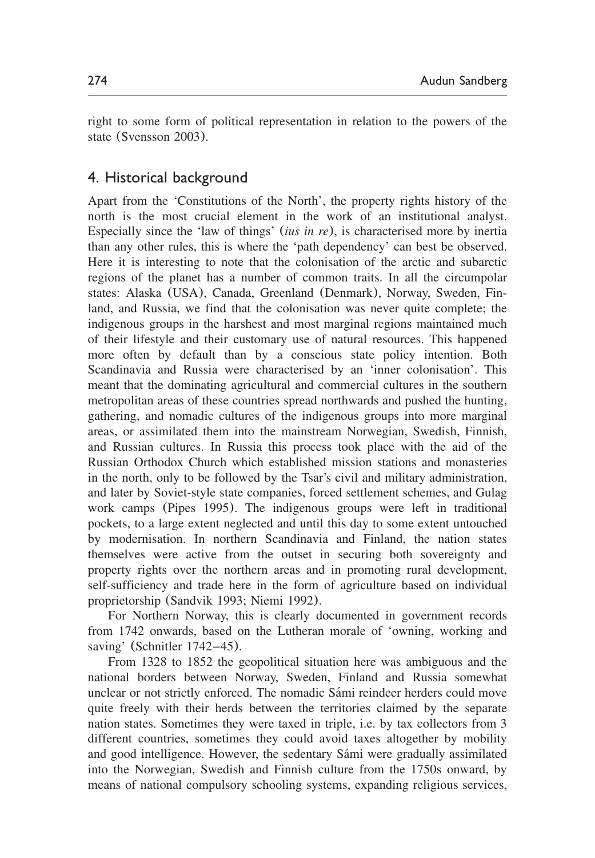right to some form of political representation in relation to the powers of the state ([Svensson 2003](#page-18-0)).

## 4. Historical background

Apart from the 'Constitutions of the North', the property rights history of the north is the most crucial element in the work of an institutional analyst. Especially since the 'law of things' (*ius in re*), is characterised more by inertia than any other rules, this is where the 'path dependency' can best be observed. Here it is interesting to note that the colonisation of the arctic and subarctic regions of the planet has a number of common traits. In all the circumpolar states: Alaska (USA), Canada, Greenland (Denmark), Norway, Sweden, Finland, and Russia, we find that the colonisation was never quite complete; the indigenous groups in the harshest and most marginal regions maintained much of their lifestyle and their customary use of natural resources. This happened more often by default than by a conscious state policy intention. Both Scandinavia and Russia were characterised by an 'inner colonisation'. This meant that the dominating agricultural and commercial cultures in the southern metropolitan areas of these countries spread northwards and pushed the hunting, gathering, and nomadic cultures of the indigenous groups into more marginal areas, or assimilated them into the mainstream Norwegian, Swedish, Finnish, and Russian cultures. In Russia this process took place with the aid of the Russian Orthodox Church which established mission stations and monasteries in the north, only to be followed by the Tsar's civil and military administration, and later by Soviet-style state companies, forced settlement schemes, and Gulag work camps ([Pipes 1995](#page-18-0)). The indigenous groups were left in traditional pockets, to a large extent neglected and until this day to some extent untouched by modernisation. In northern Scandinavia and Finland, the nation states themselves were active from the outset in securing both sovereignty and property rights over the northern areas and in promoting rural development, self-sufficiency and trade here in the form of agriculture based on individual proprietorship ([Sandvik 1993;](#page-18-0) [Niemi 1992](#page-17-0)).

For Northern Norway, this is clearly documented in government records from 1742 onwards, based on the Lutheran morale of 'owning, working and saving' ([Schnitler 1742](#page-18-0)–45).

From 1328 to 1852 the geopolitical situation here was ambiguous and the national borders between Norway, Sweden, Finland and Russia somewhat unclear or not strictly enforced. The nomadic Sami reindeer herders could move ´ quite freely with their herds between the territories claimed by the separate nation states. Sometimes they were taxed in triple, i.e. by tax collectors from 3 different countries, sometimes they could avoid taxes altogether by mobility and good intelligence. However, the sedentary Sámi were gradually assimilated into the Norwegian, Swedish and Finnish culture from the 1750s onward, by means of national compulsory schooling systems, expanding religious services,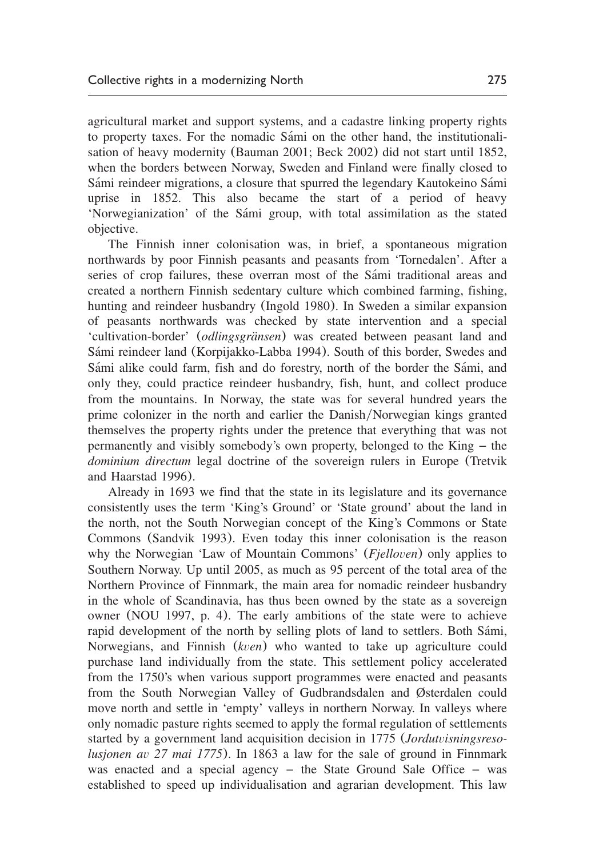agricultural market and support systems, and a cadastre linking property rights to property taxes. For the nomadic Sámi on the other hand, the institutionalisation of heavy modernity ([Bauman 2001; Beck 2002](#page-16-0)) did not start until 1852, when the borders between Norway, Sweden and Finland were finally closed to Sámi reindeer migrations, a closure that spurred the legendary Kautokeino Sámi uprise in 1852. This also became the start of a period of heavy 'Norwegianization' of the Sámi group, with total assimilation as the stated objective.

The Finnish inner colonisation was, in brief, a spontaneous migration northwards by poor Finnish peasants and peasants from 'Tornedalen'. After a series of crop failures, these overran most of the Sami traditional areas and created a northern Finnish sedentary culture which combined farming, fishing, hunting and reindeer husbandry ([Ingold 1980](#page-17-0)). In Sweden a similar expansion of peasants northwards was checked by state intervention and a special 'cultivation-border' (*odlingsgränsen*) was created between peasant land and Sámi reindeer land ([Korpijakko-Labba 1994](#page-17-0)). South of this border, Swedes and Sámi alike could farm, fish and do forestry, north of the border the Sámi, and only they, could practice reindeer husbandry, fish, hunt, and collect produce from the mountains. In Norway, the state was for several hundred years the prime colonizer in the north and earlier the Danish/Norwegian kings granted themselves the property rights under the pretence that everything that was not permanently and visibly somebody's own property, belonged to the King – the *dominium directum* legal doctrine of the sovereign rulers in Europe ([Tretvik](#page-18-0) [and Haarstad 1996](#page-18-0)).

Already in 1693 we find that the state in its legislature and its governance consistently uses the term 'King's Ground' or 'State ground' about the land in the north, not the South Norwegian concept of the King's Commons or State Commons ([Sandvik 1993](#page-18-0)). Even today this inner colonisation is the reason why the Norwegian 'Law of Mountain Commons' (*Fjelloven*) only applies to Southern Norway. Up until 2005, as much as 95 percent of the total area of the Northern Province of Finnmark, the main area for nomadic reindeer husbandry in the whole of Scandinavia, has thus been owned by the state as a sovereign owner ([NOU 1997,](#page-17-0) p. 4). The early ambitions of the state were to achieve rapid development of the north by selling plots of land to settlers. Both Sámi, Norwegians, and Finnish (*kven*) who wanted to take up agriculture could purchase land individually from the state. This settlement policy accelerated from the 1750's when various support programmes were enacted and peasants from the South Norwegian Valley of Gudbrandsdalen and Østerdalen could move north and settle in 'empty' valleys in northern Norway. In valleys where only nomadic pasture rights seemed to apply the formal regulation of settlements started by a government land acquisition decision in 1775 (*Jordutvisningsresolusjonen av 27 mai 1775*). In 1863 a law for the sale of ground in Finnmark was enacted and a special agency – the State Ground Sale Office – was established to speed up individualisation and agrarian development. This law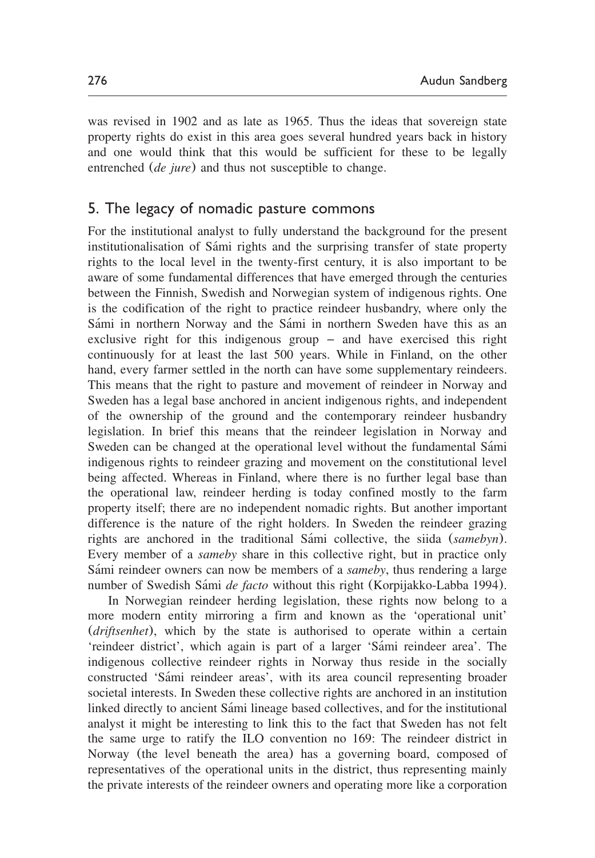was revised in 1902 and as late as 1965. Thus the ideas that sovereign state property rights do exist in this area goes several hundred years back in history and one would think that this would be sufficient for these to be legally entrenched (*de jure*) and thus not susceptible to change.

#### 5. The legacy of nomadic pasture commons

For the institutional analyst to fully understand the background for the present institutionalisation of Sámi rights and the surprising transfer of state property rights to the local level in the twenty-first century, it is also important to be aware of some fundamental differences that have emerged through the centuries between the Finnish, Swedish and Norwegian system of indigenous rights. One is the codification of the right to practice reindeer husbandry, where only the Sámi in northern Norway and the Sámi in northern Sweden have this as an exclusive right for this indigenous group – and have exercised this right continuously for at least the last 500 years. While in Finland, on the other hand, every farmer settled in the north can have some supplementary reindeers. This means that the right to pasture and movement of reindeer in Norway and Sweden has a legal base anchored in ancient indigenous rights, and independent of the ownership of the ground and the contemporary reindeer husbandry legislation. In brief this means that the reindeer legislation in Norway and Sweden can be changed at the operational level without the fundamental Sámi indigenous rights to reindeer grazing and movement on the constitutional level being affected. Whereas in Finland, where there is no further legal base than the operational law, reindeer herding is today confined mostly to the farm property itself; there are no independent nomadic rights. But another important difference is the nature of the right holders. In Sweden the reindeer grazing rights are anchored in the traditional Sámi collective, the siida (*samebyn*). Every member of a *sameby* share in this collective right, but in practice only Sámi reindeer owners can now be members of a *sameby*, thus rendering a large number of Swedish Sámi *de facto* without this right ([Korpijakko-Labba 1994](#page-17-0)).

In Norwegian reindeer herding legislation, these rights now belong to a more modern entity mirroring a firm and known as the 'operational unit' (*driftsenhet*), which by the state is authorised to operate within a certain 'reindeer district', which again is part of a larger 'Sámi reindeer area'. The indigenous collective reindeer rights in Norway thus reside in the socially constructed 'Sami reindeer areas', with its area council representing broader ´ societal interests. In Sweden these collective rights are anchored in an institution linked directly to ancient Sami lineage based collectives, and for the institutional ´ analyst it might be interesting to link this to the fact that Sweden has not felt the same urge to ratify the ILO convention no 169: The reindeer district in Norway (the level beneath the area) has a governing board, composed of representatives of the operational units in the district, thus representing mainly the private interests of the reindeer owners and operating more like a corporation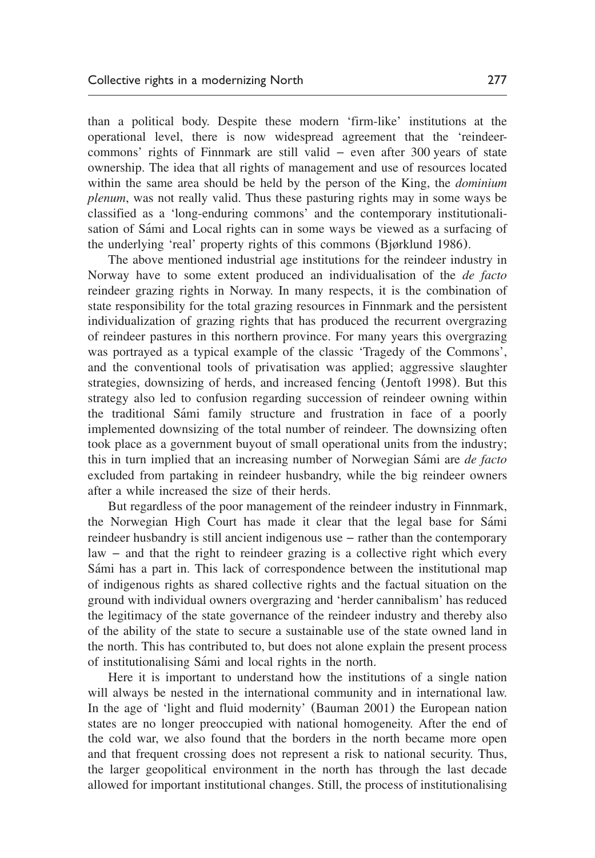than a political body. Despite these modern 'firm-like' institutions at the operational level, there is now widespread agreement that the 'reindeercommons' rights of Finnmark are still valid – even after 300 years of state ownership. The idea that all rights of management and use of resources located within the same area should be held by the person of the King, the *dominium plenum*, was not really valid. Thus these pasturing rights may in some ways be classified as a 'long-enduring commons' and the contemporary institutionalisation of Sámi and Local rights can in some ways be viewed as a surfacing of the underlying 'real' property rights of this commons ([Bjørklund 1986](#page-16-0)).

The above mentioned industrial age institutions for the reindeer industry in Norway have to some extent produced an individualisation of the *de facto* reindeer grazing rights in Norway. In many respects, it is the combination of state responsibility for the total grazing resources in Finnmark and the persistent individualization of grazing rights that has produced the recurrent overgrazing of reindeer pastures in this northern province. For many years this overgrazing was portrayed as a typical example of the classic 'Tragedy of the Commons', and the conventional tools of privatisation was applied; aggressive slaughter strategies, downsizing of herds, and increased fencing ([Jentoft 1998](#page-17-0)). But this strategy also led to confusion regarding succession of reindeer owning within the traditional Sámi family structure and frustration in face of a poorly implemented downsizing of the total number of reindeer. The downsizing often took place as a government buyout of small operational units from the industry; this in turn implied that an increasing number of Norwegian Sámi are *de facto* excluded from partaking in reindeer husbandry, while the big reindeer owners after a while increased the size of their herds.

But regardless of the poor management of the reindeer industry in Finnmark, the Norwegian High Court has made it clear that the legal base for Sámi reindeer husbandry is still ancient indigenous use – rather than the contemporary law – and that the right to reindeer grazing is a collective right which every Sámi has a part in. This lack of correspondence between the institutional map of indigenous rights as shared collective rights and the factual situation on the ground with individual owners overgrazing and 'herder cannibalism' has reduced the legitimacy of the state governance of the reindeer industry and thereby also of the ability of the state to secure a sustainable use of the state owned land in the north. This has contributed to, but does not alone explain the present process of institutionalising Sami and local rights in the north. ´

Here it is important to understand how the institutions of a single nation will always be nested in the international community and in international law. In the age of 'light and fluid modernity' ([Bauman 2001](#page-16-0)) the European nation states are no longer preoccupied with national homogeneity. After the end of the cold war, we also found that the borders in the north became more open and that frequent crossing does not represent a risk to national security. Thus, the larger geopolitical environment in the north has through the last decade allowed for important institutional changes. Still, the process of institutionalising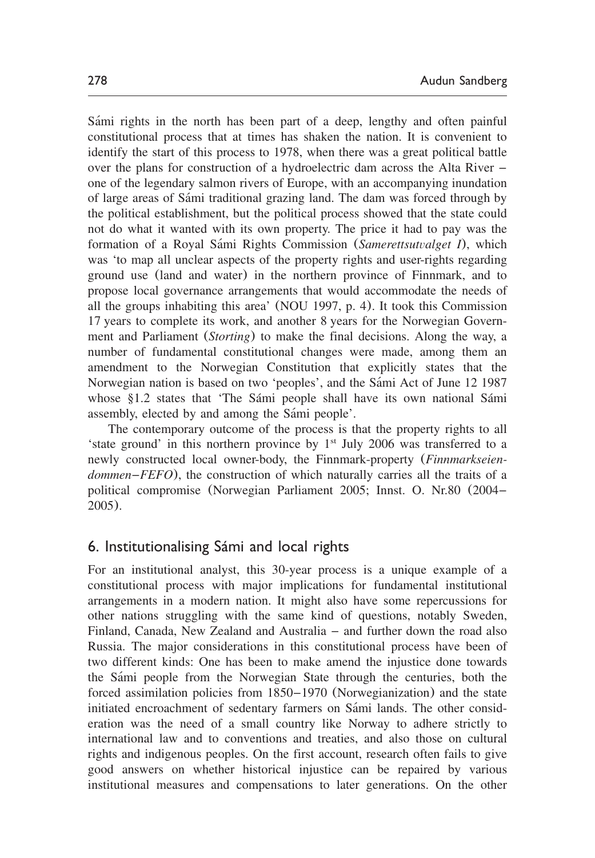Sámi rights in the north has been part of a deep, lengthy and often painful constitutional process that at times has shaken the nation. It is convenient to identify the start of this process to 1978, when there was a great political battle over the plans for construction of a hydroelectric dam across the Alta River – one of the legendary salmon rivers of Europe, with an accompanying inundation of large areas of Sami traditional grazing land. The dam was forced through by ´ the political establishment, but the political process showed that the state could not do what it wanted with its own property. The price it had to pay was the formation of a Royal Sámi Rights Commission (*Samerettsutvalget I*), which was 'to map all unclear aspects of the property rights and user-rights regarding ground use (land and water) in the northern province of Finnmark, and to propose local governance arrangements that would accommodate the needs of all the groups inhabiting this area' ([NOU 1997,](#page-17-0) p. 4). It took this Commission 17 years to complete its work, and another 8 years for the Norwegian Government and Parliament (*Storting*) to make the final decisions. Along the way, a number of fundamental constitutional changes were made, among them an amendment to the Norwegian Constitution that explicitly states that the Norwegian nation is based on two 'peoples', and the Sámi Act of June 12 1987 whose §1.2 states that 'The Sámi people shall have its own national Sámi assembly, elected by and among the Sami people'.

The contemporary outcome of the process is that the property rights to all 'state ground' in this northern province by  $1<sup>st</sup>$  July 2006 was transferred to a newly constructed local owner-body, the Finnmark-property (*Finnmarkseiendommen*–*FEFO*), the construction of which naturally carries all the traits of a political compromise ([Norwegian Parliament 2005;](#page-17-0) Innst. O. Nr.80 (2004– 2005).

#### 6. Institutionalising Sámi and local rights

For an institutional analyst, this 30-year process is a unique example of a constitutional process with major implications for fundamental institutional arrangements in a modern nation. It might also have some repercussions for other nations struggling with the same kind of questions, notably Sweden, Finland, Canada, New Zealand and Australia – and further down the road also Russia. The major considerations in this constitutional process have been of two different kinds: One has been to make amend the injustice done towards the Sámi people from the Norwegian State through the centuries, both the forced assimilation policies from 1850–1970 (Norwegianization) and the state initiated encroachment of sedentary farmers on Sámi lands. The other consideration was the need of a small country like Norway to adhere strictly to international law and to conventions and treaties, and also those on cultural rights and indigenous peoples. On the first account, research often fails to give good answers on whether historical injustice can be repaired by various institutional measures and compensations to later generations. On the other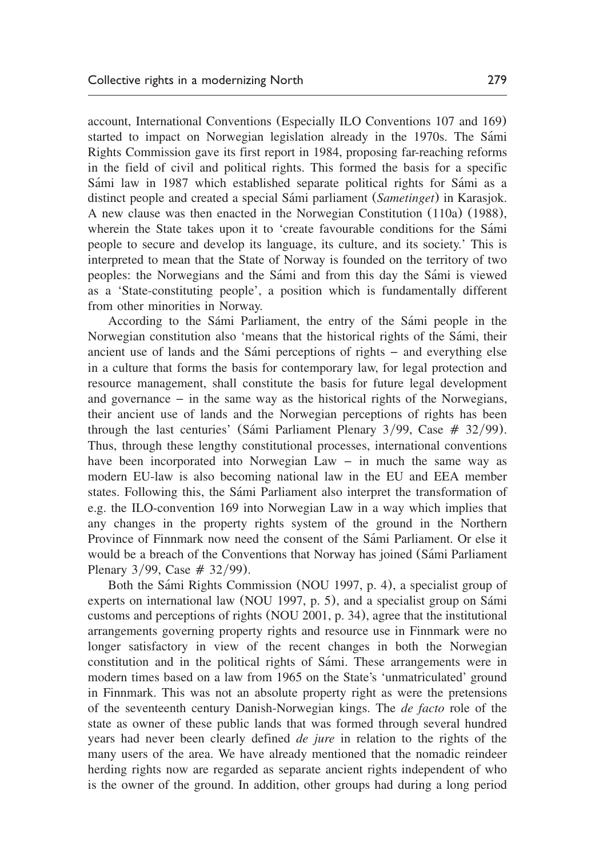account, International Conventions (Especially ILO Conventions 107 and 169) started to impact on Norwegian legislation already in the 1970s. The Sámi Rights Commission gave its first report in 1984, proposing far-reaching reforms in the field of civil and political rights. This formed the basis for a specific Sámi law in 1987 which established separate political rights for Sámi as a distinct people and created a special Sámi parliament (*Sametinget*) in Karasjok. A new clause was then enacted in the Norwegian Constitution (110a) (1988), wherein the State takes upon it to 'create favourable conditions for the Sámi people to secure and develop its language, its culture, and its society.' This is interpreted to mean that the State of Norway is founded on the territory of two peoples: the Norwegians and the Sámi and from this day the Sámi is viewed as a 'State-constituting people', a position which is fundamentally different from other minorities in Norway.

According to the Sámi Parliament, the entry of the Sámi people in the Norwegian constitution also 'means that the historical rights of the Sámi, their ancient use of lands and the Sámi perceptions of rights  $-$  and everything else in a culture that forms the basis for contemporary law, for legal protection and resource management, shall constitute the basis for future legal development and governance – in the same way as the historical rights of the Norwegians, their ancient use of lands and the Norwegian perceptions of rights has been through the last centuries' (Sámi Parliament Plenary  $3/99$ , Case  $# 32/99$ ). Thus, through these lengthy constitutional processes, international conventions have been incorporated into Norwegian Law – in much the same way as modern EU-law is also becoming national law in the EU and EEA member states. Following this, the Sámi Parliament also interpret the transformation of e.g. the ILO-convention 169 into Norwegian Law in a way which implies that any changes in the property rights system of the ground in the Northern Province of Finnmark now need the consent of the Sámi Parliament. Or else it would be a breach of the Conventions that Norway has joined (Sámi Parliament Plenary  $3/99$ , Case  $# 32/99$ ).

Both the Sámi Rights Commission ([NOU 1997,](#page-17-0) p. 4), a specialist group of experts on international law ([NOU 1997,](#page-17-0) p. 5), and a specialist group on Sámi customs and perceptions of rights ([NOU 2001,](#page-17-0) p. 34), agree that the institutional arrangements governing property rights and resource use in Finnmark were no longer satisfactory in view of the recent changes in both the Norwegian constitution and in the political rights of Sámi. These arrangements were in modern times based on a law from 1965 on the State's 'unmatriculated' ground in Finnmark. This was not an absolute property right as were the pretensions of the seventeenth century Danish-Norwegian kings. The *de facto* role of the state as owner of these public lands that was formed through several hundred years had never been clearly defined *de jure* in relation to the rights of the many users of the area. We have already mentioned that the nomadic reindeer herding rights now are regarded as separate ancient rights independent of who is the owner of the ground. In addition, other groups had during a long period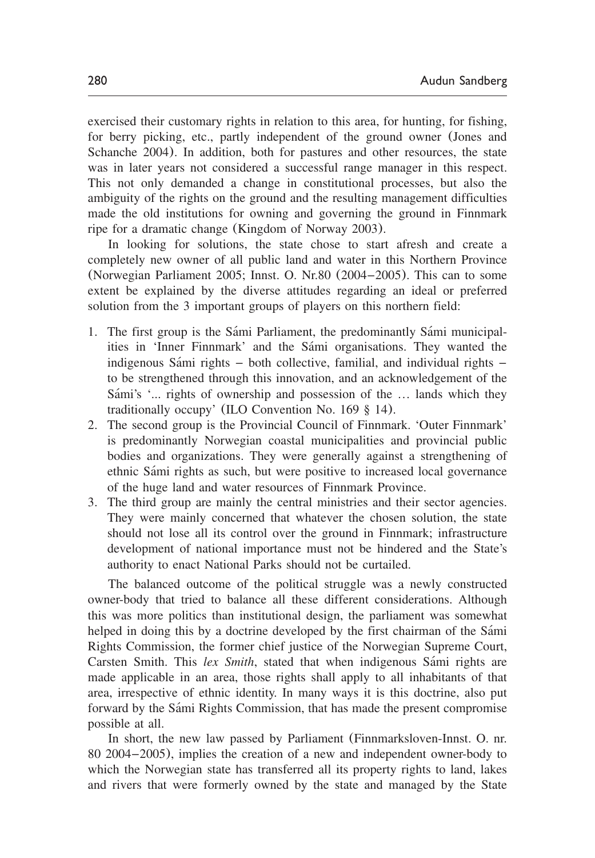exercised their customary rights in relation to this area, for hunting, for fishing, for berry picking, etc., partly independent of the ground owner ([Jones and](#page-17-0) [Schanche 2004](#page-17-0)). In addition, both for pastures and other resources, the state was in later years not considered a successful range manager in this respect. This not only demanded a change in constitutional processes, but also the ambiguity of the rights on the ground and the resulting management difficulties made the old institutions for owning and governing the ground in Finnmark ripe for a dramatic change ([Kingdom of Norway 2003](#page-17-0)).

In looking for solutions, the state chose to start afresh and create a completely new owner of all public land and water in this Northern Province ([Norwegian Parliament 2005;](#page-17-0) Innst. O. Nr.80 (2004–2005). This can to some extent be explained by the diverse attitudes regarding an ideal or preferred solution from the 3 important groups of players on this northern field:

- 1. The first group is the Sámi Parliament, the predominantly Sámi municipalities in 'Inner Finnmark' and the Sámi organisations. They wanted the indigenous Sámi rights  $-$  both collective, familial, and individual rights  $$ to be strengthened through this innovation, and an acknowledgement of the Sámi's '... rights of ownership and possession of the ... lands which they traditionally occupy' (ILO Convention No. 169 § 14).
- 2. The second group is the Provincial Council of Finnmark. 'Outer Finnmark' is predominantly Norwegian coastal municipalities and provincial public bodies and organizations. They were generally against a strengthening of ethnic Sami rights as such, but were positive to increased local governance ´ of the huge land and water resources of Finnmark Province.
- 3. The third group are mainly the central ministries and their sector agencies. They were mainly concerned that whatever the chosen solution, the state should not lose all its control over the ground in Finnmark; infrastructure development of national importance must not be hindered and the State's authority to enact National Parks should not be curtailed.

The balanced outcome of the political struggle was a newly constructed owner-body that tried to balance all these different considerations. Although this was more politics than institutional design, the parliament was somewhat helped in doing this by a doctrine developed by the first chairman of the Sámi Rights Commission, the former chief justice of the Norwegian Supreme Court, Carsten Smith. This *lex Smith*, stated that when indigenous Sámi rights are made applicable in an area, those rights shall apply to all inhabitants of that area, irrespective of ethnic identity. In many ways it is this doctrine, also put forward by the Sámi Rights Commission, that has made the present compromise possible at all.

In short, the new law passed by Parliament (Finnmarksloven-Innst. O. nr. 80 2004–2005), implies the creation of a new and independent owner-body to which the Norwegian state has transferred all its property rights to land, lakes and rivers that were formerly owned by the state and managed by the State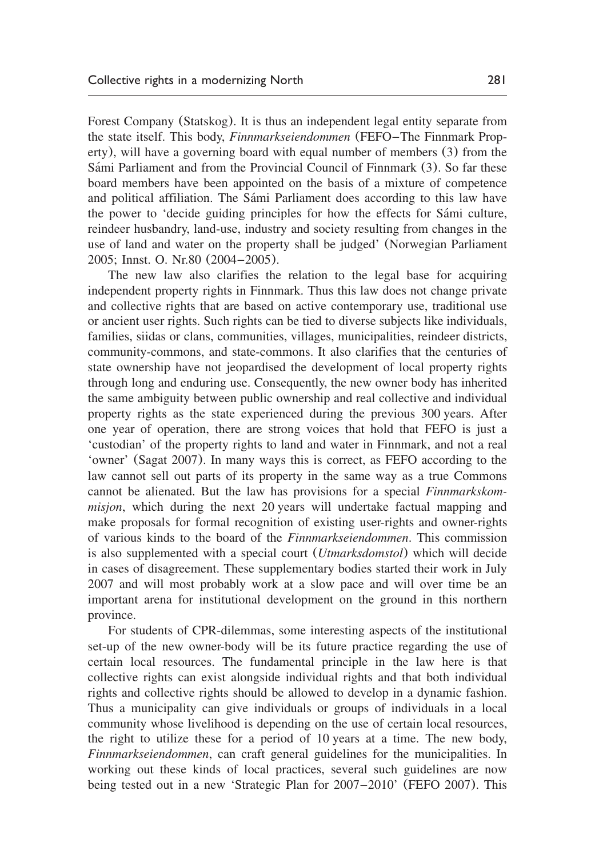Forest Company (Statskog). It is thus an independent legal entity separate from the state itself. This body, *Finnmarkseiendommen* (FEFO–The Finnmark Property), will have a governing board with equal number of members (3) from the Sámi Parliament and from the Provincial Council of Finnmark (3). So far these board members have been appointed on the basis of a mixture of competence and political affiliation. The Sámi Parliament does according to this law have the power to 'decide guiding principles for how the effects for Sámi culture, reindeer husbandry, land-use, industry and society resulting from changes in the use of land and water on the property shall be judged' ([Norwegian Parliament](#page-17-0) [2005;](#page-17-0) Innst. O. Nr.80 (2004–2005).

The new law also clarifies the relation to the legal base for acquiring independent property rights in Finnmark. Thus this law does not change private and collective rights that are based on active contemporary use, traditional use or ancient user rights. Such rights can be tied to diverse subjects like individuals, families, siidas or clans, communities, villages, municipalities, reindeer districts, community-commons, and state-commons. It also clarifies that the centuries of state ownership have not jeopardised the development of local property rights through long and enduring use. Consequently, the new owner body has inherited the same ambiguity between public ownership and real collective and individual property rights as the state experienced during the previous 300 years. After one year of operation, there are strong voices that hold that FEFO is just a 'custodian' of the property rights to land and water in Finnmark, and not a real 'owner' ([Sagat 2007](#page-18-0)). In many ways this is correct, as FEFO according to the law cannot sell out parts of its property in the same way as a true Commons cannot be alienated. But the law has provisions for a special *Finnmarkskommisjon*, which during the next 20 years will undertake factual mapping and make proposals for formal recognition of existing user-rights and owner-rights of various kinds to the board of the *Finnmarkseiendommen*. This commission is also supplemented with a special court (*Utmarksdomstol*) which will decide in cases of disagreement. These supplementary bodies started their work in July 2007 and will most probably work at a slow pace and will over time be an important arena for institutional development on the ground in this northern province.

For students of CPR-dilemmas, some interesting aspects of the institutional set-up of the new owner-body will be its future practice regarding the use of certain local resources. The fundamental principle in the law here is that collective rights can exist alongside individual rights and that both individual rights and collective rights should be allowed to develop in a dynamic fashion. Thus a municipality can give individuals or groups of individuals in a local community whose livelihood is depending on the use of certain local resources, the right to utilize these for a period of 10 years at a time. The new body, *Finnmarkseiendommen*, can craft general guidelines for the municipalities. In working out these kinds of local practices, several such guidelines are now being tested out in a new 'Strategic Plan for 2007–2010' ([FEFO 2007](#page-16-0)). This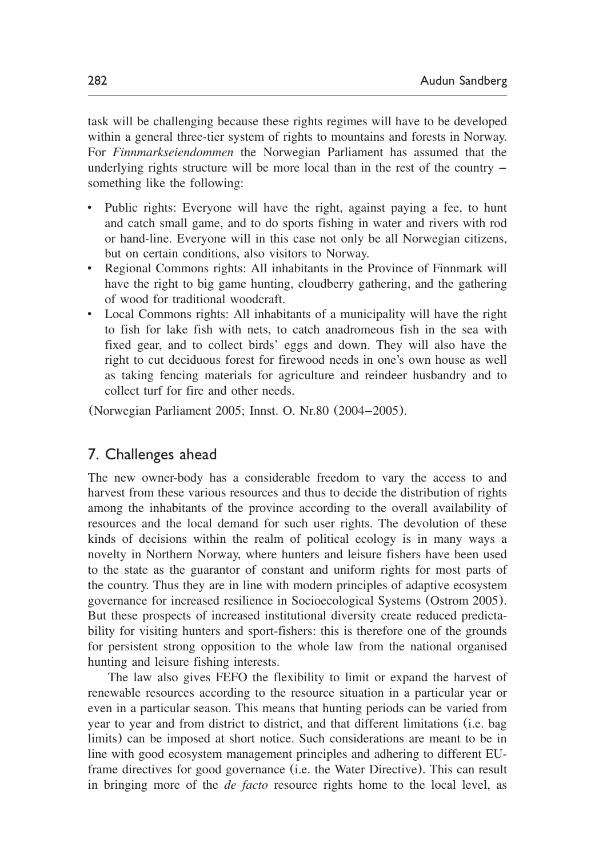task will be challenging because these rights regimes will have to be developed within a general three-tier system of rights to mountains and forests in Norway. For *Finnmarkseiendommen* the Norwegian Parliament has assumed that the underlying rights structure will be more local than in the rest of the country – something like the following:

- Public rights: Everyone will have the right, against paying a fee, to hunt and catch small game, and to do sports fishing in water and rivers with rod or hand-line. Everyone will in this case not only be all Norwegian citizens, but on certain conditions, also visitors to Norway.
- Regional Commons rights: All inhabitants in the Province of Finnmark will have the right to big game hunting, cloudberry gathering, and the gathering of wood for traditional woodcraft.
- Local Commons rights: All inhabitants of a municipality will have the right to fish for lake fish with nets, to catch anadromeous fish in the sea with fixed gear, and to collect birds' eggs and down. They will also have the right to cut deciduous forest for firewood needs in one's own house as well as taking fencing materials for agriculture and reindeer husbandry and to collect turf for fire and other needs.

([Norwegian Parliament 2005;](#page-17-0) Innst. O. Nr.80 (2004–2005).

## 7. Challenges ahead

The new owner-body has a considerable freedom to vary the access to and harvest from these various resources and thus to decide the distribution of rights among the inhabitants of the province according to the overall availability of resources and the local demand for such user rights. The devolution of these kinds of decisions within the realm of political ecology is in many ways a novelty in Northern Norway, where hunters and leisure fishers have been used to the state as the guarantor of constant and uniform rights for most parts of the country. Thus they are in line with modern principles of adaptive ecosystem governance for increased resilience in Socioecological Systems ([Ostrom 2005](#page-17-0)). But these prospects of increased institutional diversity create reduced predictability for visiting hunters and sport-fishers: this is therefore one of the grounds for persistent strong opposition to the whole law from the national organised hunting and leisure fishing interests.

The law also gives FEFO the flexibility to limit or expand the harvest of renewable resources according to the resource situation in a particular year or even in a particular season. This means that hunting periods can be varied from year to year and from district to district, and that different limitations (i.e. bag limits) can be imposed at short notice. Such considerations are meant to be in line with good ecosystem management principles and adhering to different EUframe directives for good governance (i.e. the Water Directive). This can result in bringing more of the *de facto* resource rights home to the local level, as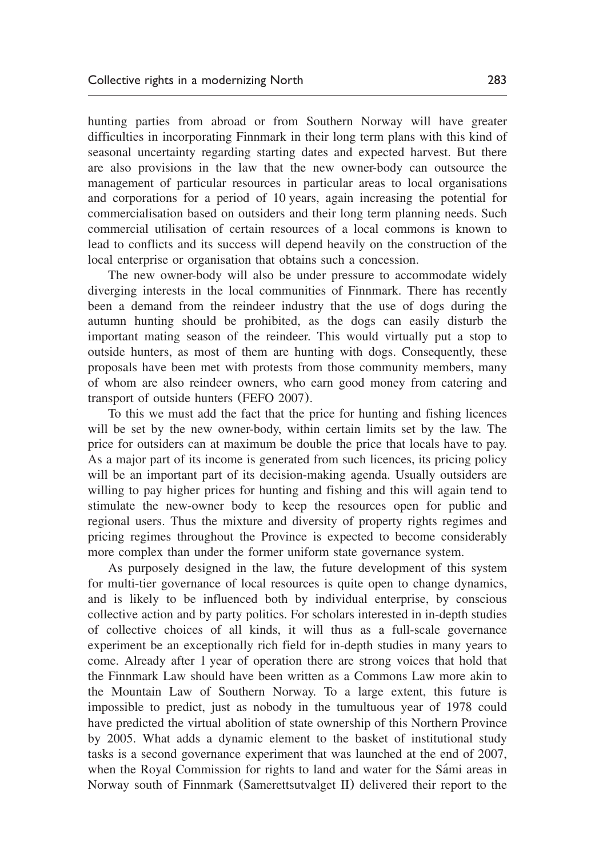hunting parties from abroad or from Southern Norway will have greater difficulties in incorporating Finnmark in their long term plans with this kind of seasonal uncertainty regarding starting dates and expected harvest. But there are also provisions in the law that the new owner-body can outsource the management of particular resources in particular areas to local organisations and corporations for a period of 10 years, again increasing the potential for commercialisation based on outsiders and their long term planning needs. Such commercial utilisation of certain resources of a local commons is known to lead to conflicts and its success will depend heavily on the construction of the local enterprise or organisation that obtains such a concession.

The new owner-body will also be under pressure to accommodate widely diverging interests in the local communities of Finnmark. There has recently been a demand from the reindeer industry that the use of dogs during the autumn hunting should be prohibited, as the dogs can easily disturb the important mating season of the reindeer. This would virtually put a stop to outside hunters, as most of them are hunting with dogs. Consequently, these proposals have been met with protests from those community members, many of whom are also reindeer owners, who earn good money from catering and transport of outside hunters ([FEFO 2007](#page-16-0)).

To this we must add the fact that the price for hunting and fishing licences will be set by the new owner-body, within certain limits set by the law. The price for outsiders can at maximum be double the price that locals have to pay. As a major part of its income is generated from such licences, its pricing policy will be an important part of its decision-making agenda. Usually outsiders are willing to pay higher prices for hunting and fishing and this will again tend to stimulate the new-owner body to keep the resources open for public and regional users. Thus the mixture and diversity of property rights regimes and pricing regimes throughout the Province is expected to become considerably more complex than under the former uniform state governance system.

As purposely designed in the law, the future development of this system for multi-tier governance of local resources is quite open to change dynamics, and is likely to be influenced both by individual enterprise, by conscious collective action and by party politics. For scholars interested in in-depth studies of collective choices of all kinds, it will thus as a full-scale governance experiment be an exceptionally rich field for in-depth studies in many years to come. Already after 1 year of operation there are strong voices that hold that the Finnmark Law should have been written as a Commons Law more akin to the Mountain Law of Southern Norway. To a large extent, this future is impossible to predict, just as nobody in the tumultuous year of 1978 could have predicted the virtual abolition of state ownership of this Northern Province by 2005. What adds a dynamic element to the basket of institutional study tasks is a second governance experiment that was launched at the end of 2007, when the Royal Commission for rights to land and water for the Sámi areas in Norway south of Finnmark (Samerettsutvalget II) delivered their report to the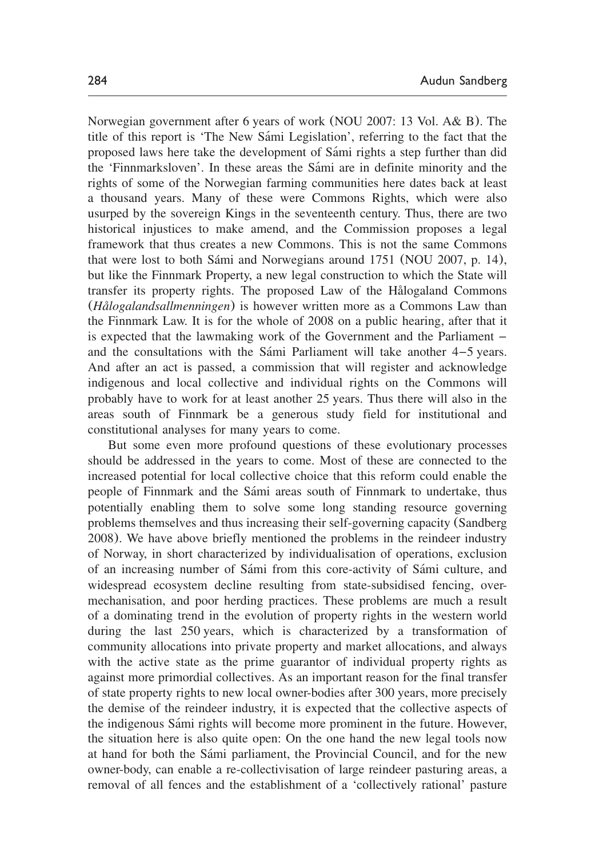Norwegian government after 6 years of work ([NOU 2007:](#page-17-0) 13 Vol. A& B). The title of this report is 'The New Sami Legislation', referring to the fact that the proposed laws here take the development of Sami rights a step further than did ´ the 'Finnmarksloven'. In these areas the Sámi are in definite minority and the rights of some of the Norwegian farming communities here dates back at least a thousand years. Many of these were Commons Rights, which were also usurped by the sovereign Kings in the seventeenth century. Thus, there are two historical injustices to make amend, and the Commission proposes a legal framework that thus creates a new Commons. This is not the same Commons that were lost to both Sámi and Norwegians around 1751 ([NOU 2007,](#page-17-0) p. 14), but like the Finnmark Property, a new legal construction to which the State will transfer its property rights. The proposed Law of the Hålogaland Commons (*Hålogalandsallmenningen*) is however written more as a Commons Law than the Finnmark Law. It is for the whole of 2008 on a public hearing, after that it is expected that the lawmaking work of the Government and the Parliament – and the consultations with the Sámi Parliament will take another  $4-5$  years. And after an act is passed, a commission that will register and acknowledge indigenous and local collective and individual rights on the Commons will probably have to work for at least another 25 years. Thus there will also in the areas south of Finnmark be a generous study field for institutional and constitutional analyses for many years to come.

But some even more profound questions of these evolutionary processes should be addressed in the years to come. Most of these are connected to the increased potential for local collective choice that this reform could enable the people of Finnmark and the Sámi areas south of Finnmark to undertake, thus potentially enabling them to solve some long standing resource governing problems themselves and thus increasing their self-governing capacity ([Sandberg](#page-18-0) [2008](#page-18-0)). We have above briefly mentioned the problems in the reindeer industry of Norway, in short characterized by individualisation of operations, exclusion of an increasing number of Sámi from this core-activity of Sámi culture, and widespread ecosystem decline resulting from state-subsidised fencing, overmechanisation, and poor herding practices. These problems are much a result of a dominating trend in the evolution of property rights in the western world during the last 250 years, which is characterized by a transformation of community allocations into private property and market allocations, and always with the active state as the prime guarantor of individual property rights as against more primordial collectives. As an important reason for the final transfer of state property rights to new local owner-bodies after 300 years, more precisely the demise of the reindeer industry, it is expected that the collective aspects of the indigenous Sámi rights will become more prominent in the future. However, the situation here is also quite open: On the one hand the new legal tools now at hand for both the Sámi parliament, the Provincial Council, and for the new owner-body, can enable a re-collectivisation of large reindeer pasturing areas, a removal of all fences and the establishment of a 'collectively rational' pasture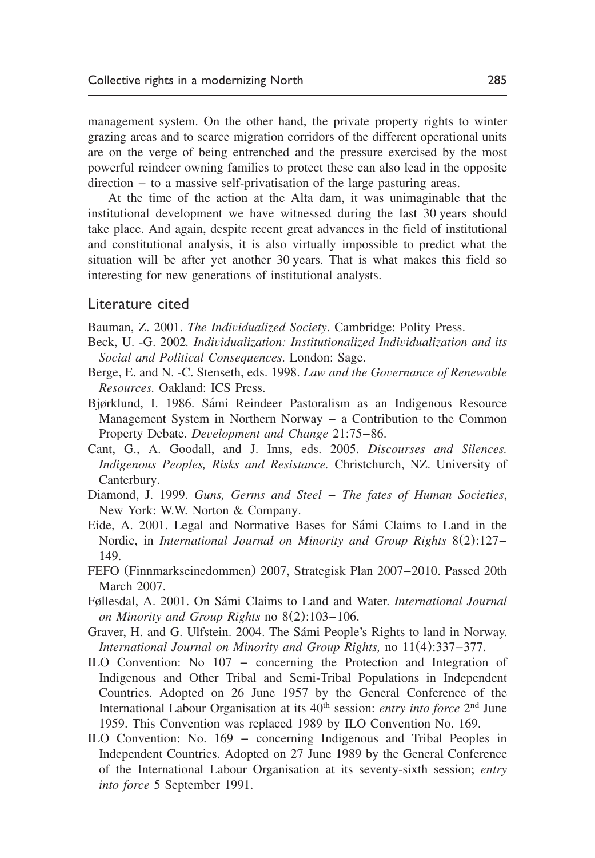<span id="page-16-0"></span>management system. On the other hand, the private property rights to winter grazing areas and to scarce migration corridors of the different operational units are on the verge of being entrenched and the pressure exercised by the most powerful reindeer owning families to protect these can also lead in the opposite direction – to a massive self-privatisation of the large pasturing areas.

At the time of the action at the Alta dam, it was unimaginable that the institutional development we have witnessed during the last 30 years should take place. And again, despite recent great advances in the field of institutional and constitutional analysis, it is also virtually impossible to predict what the situation will be after yet another 30 years. That is what makes this field so interesting for new generations of institutional analysts.

#### Literature cited

Bauman, Z. 2001. *The Individualized Society*. Cambridge: Polity Press.

- Beck, U. -G. 2002*. Individualization: Institutionalized Individualization and its Social and Political Consequences*. London: Sage.
- Berge, E. and N. -C. Stenseth, eds. 1998. *Law and the Governance of Renewable Resources.* Oakland: ICS Press.
- Bjørklund, I. 1986. Sámi Reindeer Pastoralism as an Indigenous Resource Management System in Northern Norway – a Contribution to the Common Property Debate. *Development and Change* 21:75–86.
- Cant, G., A. Goodall, and J. Inns, eds. 2005. *Discourses and Silences. Indigenous Peoples, Risks and Resistance.* Christchurch, NZ. University of Canterbury.
- Diamond, J. 1999. *Guns, Germs and Steel The fates of Human Societies*, New York: W.W. Norton & Company.
- Eide, A. 2001. Legal and Normative Bases for Sámi Claims to Land in the Nordic, in *International Journal on Minority and Group Rights* 8(2):127– 149.
- FEFO (Finnmarkseinedommen) 2007, Strategisk Plan 2007–2010. Passed 20th March 2007.
- Føllesdal, A. 2001. On Sámi Claims to Land and Water. *International Journal on Minority and Group Rights* no 8(2):103–106.
- Graver, H. and G. Ulfstein. 2004. The Sámi People's Rights to land in Norway. *International Journal on Minority and Group Rights,* no 11(4):337–377.
- ILO Convention: No 107 concerning the Protection and Integration of Indigenous and Other Tribal and Semi-Tribal Populations in Independent Countries. Adopted on 26 June 1957 by the General Conference of the International Labour Organisation at its 40<sup>th</sup> session: *entry into force* 2<sup>nd</sup> June 1959. This Convention was replaced 1989 by ILO Convention No. 169.
- ILO Convention: No. 169 concerning Indigenous and Tribal Peoples in Independent Countries. Adopted on 27 June 1989 by the General Conference of the International Labour Organisation at its seventy-sixth session; *entry into force* 5 September 1991.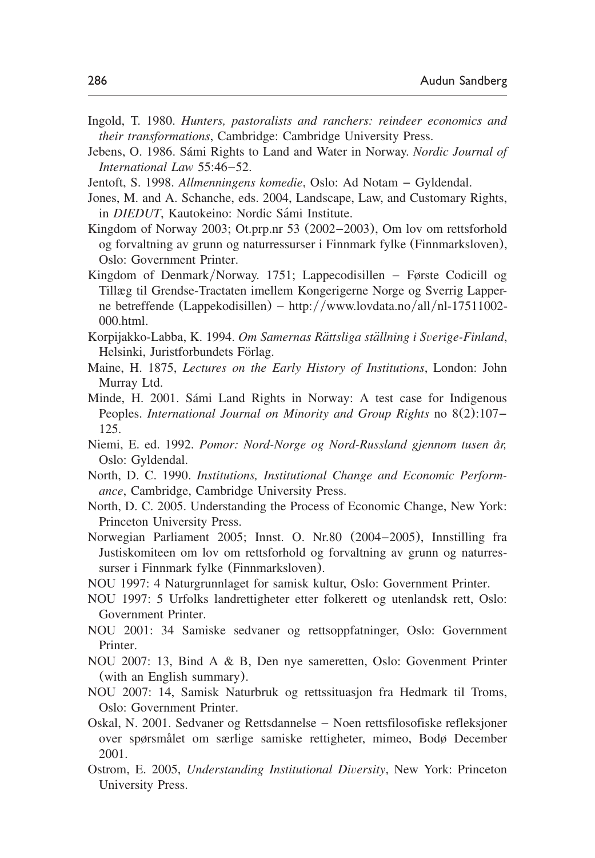- <span id="page-17-0"></span>Ingold, T. 1980. *Hunters, pastoralists and ranchers: reindeer economics and their transformations*, Cambridge: Cambridge University Press.
- Jebens, O. 1986. Sámi Rights to Land and Water in Norway. *Nordic Journal of International Law* 55:46–52.
- Jentoft, S. 1998. *Allmenningens komedie*, Oslo: Ad Notam Gyldendal.
- Jones, M. and A. Schanche, eds. 2004, Landscape, Law, and Customary Rights, in *DIEDUT*, Kautokeino: Nordic Sámi Institute.
- Kingdom of Norway 2003; Ot.prp.nr 53 (2002–2003), Om lov om rettsforhold og forvaltning av grunn og naturressurser i Finnmark fylke (Finnmarksloven), Oslo: Government Printer.
- Kingdom of Denmark/Norway. 1751; Lappecodisillen Første Codicill og Tillæg til Grendse-Tractaten imellem Kongerigerne Norge og Sverrig Lapperne betreffende (Lappekodisillen) – http://[www.lovdata.no](http://www.lovdata.no/all/nl-17511002-000.html)/all/nl-17511002-[000.html](http://www.lovdata.no/all/nl-17511002-000.html).
- Korpijakko-Labba, K. 1994. Om Samernas Rättsliga ställning i Sverige-Finland, Helsinki, Juristforbundets Förlag.
- Maine, H. 1875, *Lectures on the Early History of Institutions*, London: John Murray Ltd.
- Minde, H. 2001. Sámi Land Rights in Norway: A test case for Indigenous Peoples. *International Journal on Minority and Group Rights* no 8(2):107– 125.
- Niemi, E. ed. 1992. Pomor: Nord-Norge og Nord-Russland gjennom tusen år, Oslo: Gyldendal.
- North, D. C. 1990. *Institutions, Institutional Change and Economic Performance*, Cambridge, Cambridge University Press.
- North, D. C. 2005. Understanding the Process of Economic Change, New York: Princeton University Press.
- Norwegian Parliament 2005; Innst. O. Nr.80 (2004–2005), Innstilling fra Justiskomiteen om lov om rettsforhold og forvaltning av grunn og naturressurser i Finnmark fylke (Finnmarksloven).
- NOU 1997: 4 Naturgrunnlaget for samisk kultur, Oslo: Government Printer.
- NOU 1997: 5 Urfolks landrettigheter etter folkerett og utenlandsk rett, Oslo: Government Printer.
- NOU 2001: 34 Samiske sedvaner og rettsoppfatninger, Oslo: Government Printer.
- NOU 2007: 13, Bind A & B, Den nye sameretten, Oslo: Govenment Printer (with an English summary).
- NOU 2007: 14, Samisk Naturbruk og rettssituasjon fra Hedmark til Troms, Oslo: Government Printer.
- Oskal, N. 2001. Sedvaner og Rettsdannelse Noen rettsfilosofiske refleksjoner over spørsmålet om særlige samiske rettigheter, mimeo, Bodø December 2001.
- Ostrom, E. 2005, *Understanding Institutional Diversity*, New York: Princeton University Press.